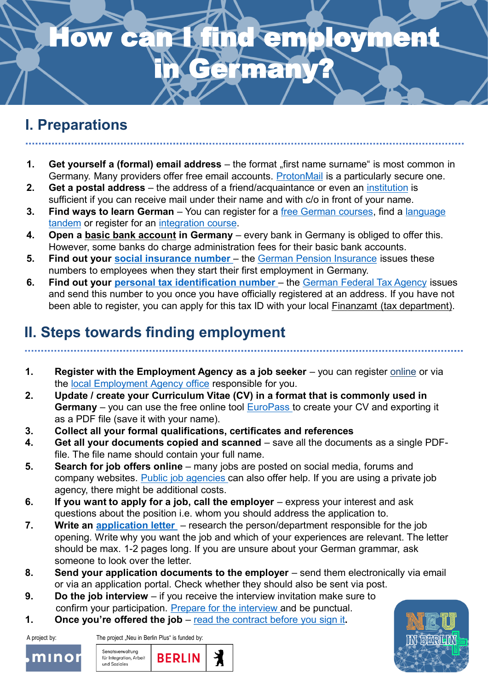## **How can I find employment** in Germany?

### **I. Preparations**

- **1.** Get yourself a (formal) email address the format "first name surname" is most common in Germany. Many providers offer free email accounts. [ProtonMail](http://www.protonmail.com/) is a particularly secure one.
- **2. Get a postal address**  the address of a friend/acquaintance or even an [institution](https://www.wohnungslos-berlin.de/offering-information-advice/) is sufficient if you can receive mail under their name and with c/o in front of your name.
- **3. Find ways to learn German** You can register for a free German courses, find a language tandem or register for an [integration course.](https://www.berlin.de/vhs/kurse/deutsch-integration/integrationskurse/)
- **4. Open a [basic bank account](https://www.bafin.de/EN/Verbraucher/Bank/Produkte/Basiskonto/basiskonto_node_en.html) in Germany**  every bank in Germany is obliged to offer this. However, some banks do charge administration fees for their basic bank accounts.
- **5. Find out your social insurance number** the [German Pension Insurance](https://www.deutsche-rentenversicherung.de/DRV/DE/Rente/Allgemeine-Informationen/Sozialversicherungsausweis/sozialversicherungsausweis_node.html) issues these numbers to employees when they start their first employment in Germany.
- **6. Find out your personal tax identification number** the [German Federal Tax Agency](https://www.bzst.de/SiteGlobals/Kontaktformulare/DE/Steuerliche_IDNr/Mitteilung_IdNr/mitteilung_IdNr_node.html) issues and send this number to you once you have officially registered at an address. If you have not been able to register, you can apply for this tax ID with your local Finanzamt [\(tax department\).](https://service.berlin.de/dienstleistung/329216/)

### **II. Steps towards finding employment**

- **1. Register with the Employment Agency as a job seeker** you can register [online](https://con.arbeitsagentur.de/prod/egov/login/?from=router&resource_url=https:%2F%2Fcon.arbeitsagentur.de%2Fprod%2Fjobboerse%2Foasu-ui%2Fpd%2F%3Freglevel%3Dpin%26pk_vid%3D841f814d83d4d0611610631302702bdb×tamp=2021-01-14T14:35:05.422661&rid=30374fd2-82e3-414b-874f-bd260da08fa1) or via the [local Employment Agency office](https://www.arbeitsagentur.de/ueber-uns/ansprechpartner) responsible for you.
- **2. Update / create your Curriculum Vitae (CV) in a format that is commonly used in Germany** – you can use the free online tool [EuroPass](https://europa.eu/europass/de/create-europass-cv) to create your CV and exporting it as a PDF file (save it with your name).
- **3. Collect all your formal qualifications, certificates and references**
- **4. Get all your documents copied and scanned** save all the documents as a single PDFfile. The file name should contain your full name.
- **5. Search for job offers online** many jobs are posted on social media, forums and company websites. [Public job agencies](https://jobpoint-berlin.de/willkommen.html) can also offer help. If you are using a private job agency, there might be additional costs.
- **6.** If you want to apply for a job, call the employer express your interest and ask questions about the position i.e. whom you should address the application to.
- **7. Write an [application letter](https://germany-simplified.com/blog/german-cover-letter/)**  research the person/department responsible for the job opening. Write why you want the job and which of your experiences are relevant. The letter should be max. 1-2 pages long. If you are unsure about your German grammar, ask someone to look over the letter.
- **8.** Send your application documents to the employer send them electronically via email or via an application portal. Check whether they should also be sent via post.
- **9. Do the job interview** if you receive the interview invitation make sure to confirm your participation. [Prepare for the interview](https://www.deutschland.de/en/topic/business/tips-for-a-job-interview-in-germany) and be punctual.
- **1. Once you're offered the job**  [read the contract before you sign it](https://www.make-it-in-germany.com/en/jobs/work-contract)**.**

A project by: The project "Neu in Berlin Plus" is funded by:



Senatsverwaltung 丬 **BERLIN** für Integration, Arbeit und Soziales